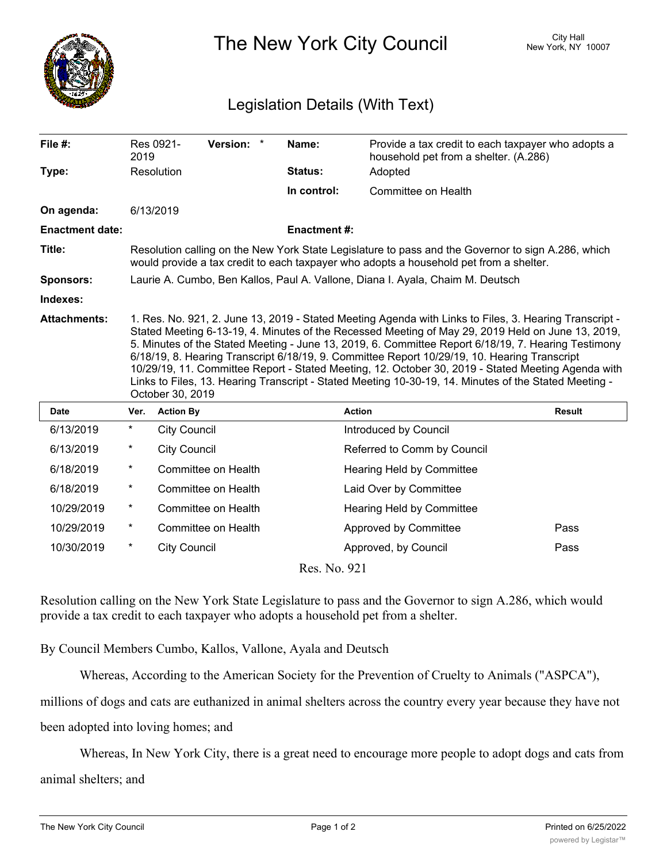

## The New York City Council New York, NY 10007

## Legislation Details (With Text)

| File $#$ :             | 2019                                                                                                                                                                                                                                                                                                                                                                                                                                                                                                                                                                                                                                                  | Res 0921-           | Version: *          |  | Name:               | Provide a tax credit to each taxpayer who adopts a<br>household pet from a shelter. (A.286)<br>Adopted |               |
|------------------------|-------------------------------------------------------------------------------------------------------------------------------------------------------------------------------------------------------------------------------------------------------------------------------------------------------------------------------------------------------------------------------------------------------------------------------------------------------------------------------------------------------------------------------------------------------------------------------------------------------------------------------------------------------|---------------------|---------------------|--|---------------------|--------------------------------------------------------------------------------------------------------|---------------|
| Type:                  |                                                                                                                                                                                                                                                                                                                                                                                                                                                                                                                                                                                                                                                       | Resolution          |                     |  | Status:             |                                                                                                        |               |
|                        |                                                                                                                                                                                                                                                                                                                                                                                                                                                                                                                                                                                                                                                       |                     |                     |  | In control:         | Committee on Health                                                                                    |               |
| On agenda:             |                                                                                                                                                                                                                                                                                                                                                                                                                                                                                                                                                                                                                                                       | 6/13/2019           |                     |  |                     |                                                                                                        |               |
| <b>Enactment date:</b> |                                                                                                                                                                                                                                                                                                                                                                                                                                                                                                                                                                                                                                                       |                     |                     |  | <b>Enactment #:</b> |                                                                                                        |               |
| Title:                 | Resolution calling on the New York State Legislature to pass and the Governor to sign A.286, which<br>would provide a tax credit to each taxpayer who adopts a household pet from a shelter.                                                                                                                                                                                                                                                                                                                                                                                                                                                          |                     |                     |  |                     |                                                                                                        |               |
| <b>Sponsors:</b>       | Laurie A. Cumbo, Ben Kallos, Paul A. Vallone, Diana I. Ayala, Chaim M. Deutsch                                                                                                                                                                                                                                                                                                                                                                                                                                                                                                                                                                        |                     |                     |  |                     |                                                                                                        |               |
| Indexes:               |                                                                                                                                                                                                                                                                                                                                                                                                                                                                                                                                                                                                                                                       |                     |                     |  |                     |                                                                                                        |               |
| <b>Attachments:</b>    | 1. Res. No. 921, 2. June 13, 2019 - Stated Meeting Agenda with Links to Files, 3. Hearing Transcript -<br>Stated Meeting 6-13-19, 4. Minutes of the Recessed Meeting of May 29, 2019 Held on June 13, 2019,<br>5. Minutes of the Stated Meeting - June 13, 2019, 6. Committee Report 6/18/19, 7. Hearing Testimony<br>6/18/19, 8. Hearing Transcript 6/18/19, 9. Committee Report 10/29/19, 10. Hearing Transcript<br>10/29/19, 11. Committee Report - Stated Meeting, 12. October 30, 2019 - Stated Meeting Agenda with<br>Links to Files, 13. Hearing Transcript - Stated Meeting 10-30-19, 14. Minutes of the Stated Meeting -<br>October 30, 2019 |                     |                     |  |                     |                                                                                                        |               |
| <b>Date</b>            | Ver.                                                                                                                                                                                                                                                                                                                                                                                                                                                                                                                                                                                                                                                  | <b>Action By</b>    |                     |  |                     | <b>Action</b>                                                                                          | <b>Result</b> |
| 6/13/2019              | $\star$                                                                                                                                                                                                                                                                                                                                                                                                                                                                                                                                                                                                                                               | <b>City Council</b> |                     |  |                     | Introduced by Council                                                                                  |               |
| 6/13/2019              | $\ast$                                                                                                                                                                                                                                                                                                                                                                                                                                                                                                                                                                                                                                                | <b>City Council</b> |                     |  |                     | Referred to Comm by Council                                                                            |               |
| 6/18/2019              | $^\star$                                                                                                                                                                                                                                                                                                                                                                                                                                                                                                                                                                                                                                              |                     | Committee on Health |  |                     | Hearing Held by Committee                                                                              |               |
| 6/18/2019              | $^\star$                                                                                                                                                                                                                                                                                                                                                                                                                                                                                                                                                                                                                                              |                     | Committee on Health |  |                     | Laid Over by Committee                                                                                 |               |
| 10/29/2019             | $^\star$                                                                                                                                                                                                                                                                                                                                                                                                                                                                                                                                                                                                                                              |                     | Committee on Health |  |                     | <b>Hearing Held by Committee</b>                                                                       |               |
| 10/29/2019             | $^\star$                                                                                                                                                                                                                                                                                                                                                                                                                                                                                                                                                                                                                                              |                     | Committee on Health |  |                     | Approved by Committee                                                                                  | Pass          |
| 10/30/2019             | $^\star$                                                                                                                                                                                                                                                                                                                                                                                                                                                                                                                                                                                                                                              | <b>City Council</b> |                     |  |                     | Approved, by Council                                                                                   | Pass          |

Res. No. 921

Resolution calling on the New York State Legislature to pass and the Governor to sign A.286, which would provide a tax credit to each taxpayer who adopts a household pet from a shelter.

By Council Members Cumbo, Kallos, Vallone, Ayala and Deutsch

Whereas, According to the American Society for the Prevention of Cruelty to Animals ("ASPCA"),

millions of dogs and cats are euthanized in animal shelters across the country every year because they have not

been adopted into loving homes; and

Whereas, In New York City, there is a great need to encourage more people to adopt dogs and cats from

animal shelters; and